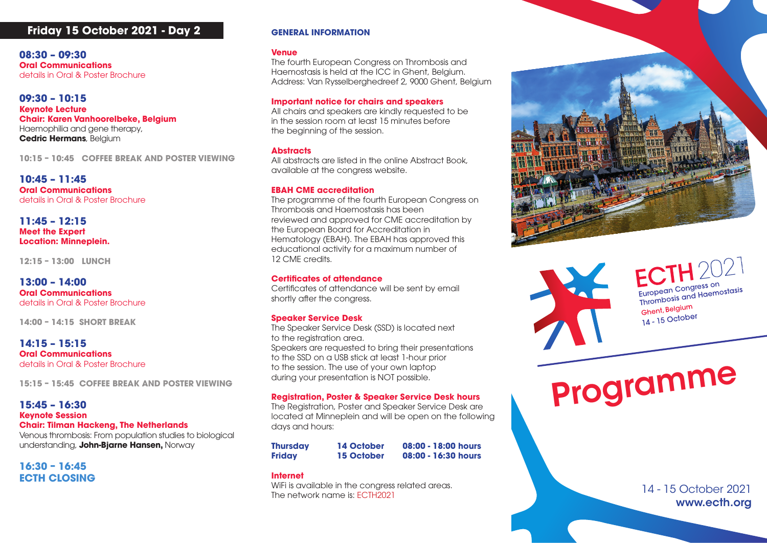# **Friday 15 October 2021 - Day 2**

**08:30 – 09:30 Oral Communications**  details in Oral & Poster Brochure

**09:30 – 10:15 Keynote Lecture Chair: Karen Vanhoorelbeke, Belgium** Haemophilia and gene therapy, **Cedric Hermans**, Belgium

**10:15 – 10:45 COFFEE BREAK AND POSTER VIEWING**

**10:45 – 11:45 Oral Communications**  details in Oral & Poster Brochure

**11:45 – 12:15 Meet the Expert Location: Minneplein.**

**12:15 – 13:00 LUNCH**

**13:00 – 14:00 Oral Communications**  details in Oral & Poster Brochure

**14:00 – 14:15 SHORT BREAK**

**14:15 – 15:15 Oral Communications**  details in Oral & Poster Brochure

**15:15 – 15:45 COFFEE BREAK AND POSTER VIEWING**

**15:45 – 16:30 Keynote Session Chair: Tilman Hackeng, The Netherlands<br>Venous thrombosis: From population studies t** Venous thrombosis: From population studies to biological

understanding, **John-Bjarne Hansen,** Norway

**16:30 – 16:45 ECTH CLOSING CIN CLOSING** 

## **GENERAL INFORMATION**

#### **Venue**

The fourth European Congress on Thrombosis and Haemostasis is held at the ICC in Ghent, Belgium. Address: Van Rysselberghedreef 2, 9000 Ghent, Belgium

### **Important notice for chairs and speakers**

All chairs and speakers are kindly requested to be in the session room at least 15 minutes before the beginning of the session.

## **x** – to be a booked per two or equivalent of two or equivalent of two or equivalent of two or equivalent of two or equivalent of two or equivalent of two or equivalent of two or equivalent of two or equivalent of two or e

All abstracts are listed in the online Abstract Book, available at the congress website.

## **EBAH CME accreditation**

 the European Board for Accreditation in en a programme or the fourth European Congress on the state of the state of the state of the state of the state of the state of the state of the state of the state of the state of the state of the state of the state of the The programme of the fourth European Congress on reviewed and approved for CME accreditation by Hematology (EBAH). The EBAH has approved this educational activity for a maximum number of 12 CME credits.

#### **Certificates of attendance**

Certificates of attendance will be sent by email shortly after the congress.

## **Speaker Service Desk**

Speakers are requested to bring their presentations<br>to the SSD on a USB stick at locat 1 bour prior. to the registration area. The Speaker Service Desk (SSD) is located next to the SSD on a USB stick at least 1-hour prior to the session. The use of your own laptop during your presentation is NOT possible.

## **Registration, Poster & Speaker Service Desk hours**

days and hours: The Registration, Poster and Speaker Service Desk are located at Minneplein and will be open on the following

tituative submitted and abstract to the meeting and abstract to the meeting and meeting and meeting and meeting and meeting and meeting and meeting and meeting and meeting and meeting and meeting and meeting and meeting an **Thursday 14 October 08:00 - 18:00 hours Thursday 14 October 08:00 - 18:00 hours Friday 15 October 08:00 - 16:30 hours**

#### The present investigators Awards Awards of the present and the present and the present and the present opportunity for young investigators Awards of the present and the present opportunity for young inves-**Internet**

The network name is: ECTH2021 WiFi is available in the congress related areas.



European Congress on European Congress on<br>Thrombosis and Haemostasis Ghent, Belgium Gherin, bolger<br>14 - 15 October

**The authority of a students in the authority of the authority of the authority post-doctoral fellows who have have have have have a student of the students.** standing your prosentation is not possible. to the session. The use of your own laptop<br>during your presentation is NOT possible.<br>Registration, Poster and Speaker Service Desk are

> 14 - 15 October 2021 www.ecth.org